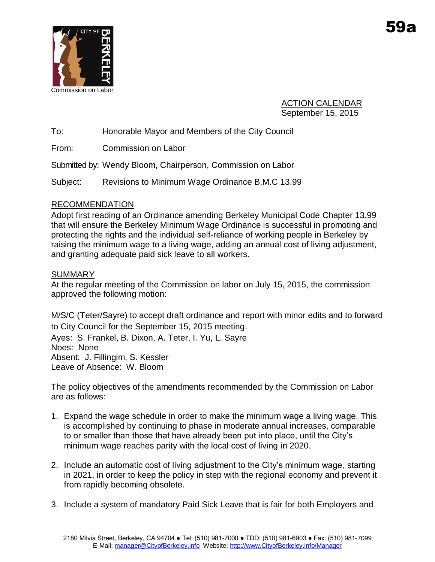

ACTION CALENDAR September 15, 2015

To: Honorable Mayor and Members of the City Council

From: Commission on Labor

Submitted by: Wendy Bloom, Chairperson, Commission on Labor

Subject: Revisions to Minimum Wage Ordinance B.M.C 13.99

# RECOMMENDATION

Adopt first reading of an Ordinance amending Berkeley Municipal Code Chapter 13.99 that will ensure the Berkeley Minimum Wage Ordinance is successful in promoting and protecting the rights and the individual self-reliance of working people in Berkeley by raising the minimum wage to a living wage, adding an annual cost of living adjustment, and granting adequate paid sick leave to all workers.

# **SUMMARY**

At the regular meeting of the Commission on labor on July 15, 2015, the commission approved the following motion:

M/S/C (Teter/Sayre) to accept draft ordinance and report with minor edits and to forward to City Council for the September 15, 2015 meeting. Ayes: S. Frankel, B. Dixon, A. Teter, I. Yu, L. Sayre Noes: None Absent: J. Fillingim, S. Kessler Leave of Absence: W. Bloom

The policy objectives of the amendments recommended by the Commission on Labor are as follows:

- 1. Expand the wage schedule in order to make the minimum wage a living wage. This is accomplished by continuing to phase in moderate annual increases, comparable to or smaller than those that have already been put into place, until the City's minimum wage reaches parity with the local cost of living in 2020.
- 2. Include an automatic cost of living adjustment to the City's minimum wage, starting in 2021, in order to keep the policy in step with the regional economy and prevent it from rapidly becoming obsolete.
- 3. Include a system of mandatory Paid Sick Leave that is fair for both Employers and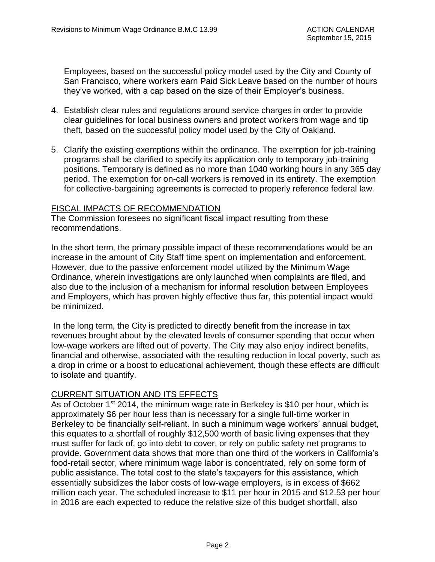Employees, based on the successful policy model used by the City and County of San Francisco, where workers earn Paid Sick Leave based on the number of hours they've worked, with a cap based on the size of their Employer's business.

- 4. Establish clear rules and regulations around service charges in order to provide clear guidelines for local business owners and protect workers from wage and tip theft, based on the successful policy model used by the City of Oakland.
- 5. Clarify the existing exemptions within the ordinance. The exemption for job-training programs shall be clarified to specify its application only to temporary job-training positions. Temporary is defined as no more than 1040 working hours in any 365 day period. The exemption for on-call workers is removed in its entirety. The exemption for collective-bargaining agreements is corrected to properly reference federal law.

#### FISCAL IMPACTS OF RECOMMENDATION

The Commission foresees no significant fiscal impact resulting from these recommendations.

In the short term, the primary possible impact of these recommendations would be an increase in the amount of City Staff time spent on implementation and enforcement. However, due to the passive enforcement model utilized by the Minimum Wage Ordinance, wherein investigations are only launched when complaints are filed, and also due to the inclusion of a mechanism for informal resolution between Employees and Employers, which has proven highly effective thus far, this potential impact would be minimized.

In the long term, the City is predicted to directly benefit from the increase in tax revenues brought about by the elevated levels of consumer spending that occur when low-wage workers are lifted out of poverty. The City may also enjoy indirect benefits, financial and otherwise, associated with the resulting reduction in local poverty, such as a drop in crime or a boost to educational achievement, though these effects are difficult to isolate and quantify.

#### CURRENT SITUATION AND ITS EFFECTS

As of October 1<sup>st</sup> 2014, the minimum wage rate in Berkeley is \$10 per hour, which is approximately \$6 per hour less than is necessary for a single full-time worker in Berkeley to be financially self-reliant. In such a minimum wage workers' annual budget, this equates to a shortfall of roughly \$12,500 worth of basic living expenses that they must suffer for lack of, go into debt to cover, or rely on public safety net programs to provide. Government data shows that more than one third of the workers in California's food-retail sector, where minimum wage labor is concentrated, rely on some form of public assistance. The total cost to the state's taxpayers for this assistance, which essentially subsidizes the labor costs of low-wage employers, is in excess of \$662 million each year. The scheduled increase to \$11 per hour in 2015 and \$12.53 per hour in 2016 are each expected to reduce the relative size of this budget shortfall, also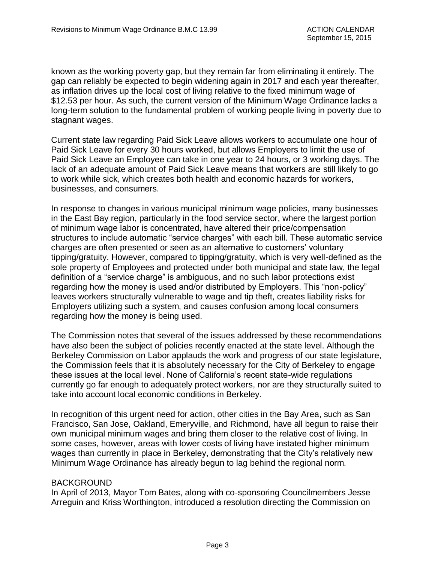known as the working poverty gap, but they remain far from eliminating it entirely. The gap can reliably be expected to begin widening again in 2017 and each year thereafter, as inflation drives up the local cost of living relative to the fixed minimum wage of \$12.53 per hour. As such, the current version of the Minimum Wage Ordinance lacks a long-term solution to the fundamental problem of working people living in poverty due to stagnant wages.

Current state law regarding Paid Sick Leave allows workers to accumulate one hour of Paid Sick Leave for every 30 hours worked, but allows Employers to limit the use of Paid Sick Leave an Employee can take in one year to 24 hours, or 3 working days. The lack of an adequate amount of Paid Sick Leave means that workers are still likely to go to work while sick, which creates both health and economic hazards for workers, businesses, and consumers.

In response to changes in various municipal minimum wage policies, many businesses in the East Bay region, particularly in the food service sector, where the largest portion of minimum wage labor is concentrated, have altered their price/compensation structures to include automatic "service charges" with each bill. These automatic service charges are often presented or seen as an alternative to customers' voluntary tipping/gratuity. However, compared to tipping/gratuity, which is very well-defined as the sole property of Employees and protected under both municipal and state law, the legal definition of a "service charge" is ambiguous, and no such labor protections exist regarding how the money is used and/or distributed by Employers. This "non-policy" leaves workers structurally vulnerable to wage and tip theft, creates liability risks for Employers utilizing such a system, and causes confusion among local consumers regarding how the money is being used.

The Commission notes that several of the issues addressed by these recommendations have also been the subject of policies recently enacted at the state level. Although the Berkeley Commission on Labor applauds the work and progress of our state legislature, the Commission feels that it is absolutely necessary for the City of Berkeley to engage these issues at the local level. None of California's recent state-wide regulations currently go far enough to adequately protect workers, nor are they structurally suited to take into account local economic conditions in Berkeley.

In recognition of this urgent need for action, other cities in the Bay Area, such as San Francisco, San Jose, Oakland, Emeryville, and Richmond, have all begun to raise their own municipal minimum wages and bring them closer to the relative cost of living. In some cases, however, areas with lower costs of living have instated higher minimum wages than currently in place in Berkeley, demonstrating that the City's relatively new Minimum Wage Ordinance has already begun to lag behind the regional norm.

#### BACKGROUND

In April of 2013, Mayor Tom Bates, along with co-sponsoring Councilmembers Jesse Arreguin and Kriss Worthington, introduced a resolution directing the Commission on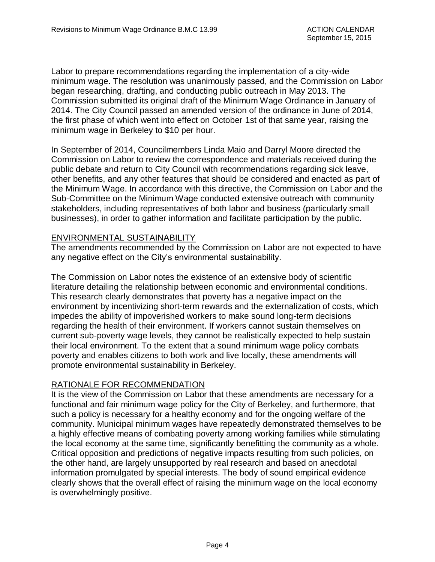Labor to prepare recommendations regarding the implementation of a city-wide minimum wage. The resolution was unanimously passed, and the Commission on Labor began researching, drafting, and conducting public outreach in May 2013. The Commission submitted its original draft of the Minimum Wage Ordinance in January of 2014. The City Council passed an amended version of the ordinance in June of 2014, the first phase of which went into effect on October 1st of that same year, raising the minimum wage in Berkeley to \$10 per hour.

In September of 2014, Councilmembers Linda Maio and Darryl Moore directed the Commission on Labor to review the correspondence and materials received during the public debate and return to City Council with recommendations regarding sick leave, other benefits, and any other features that should be considered and enacted as part of the Minimum Wage. In accordance with this directive, the Commission on Labor and the Sub-Committee on the Minimum Wage conducted extensive outreach with community stakeholders, including representatives of both labor and business (particularly small businesses), in order to gather information and facilitate participation by the public.

#### ENVIRONMENTAL SUSTAINABILITY

The amendments recommended by the Commission on Labor are not expected to have any negative effect on the City's environmental sustainability.

The Commission on Labor notes the existence of an extensive body of scientific literature detailing the relationship between economic and environmental conditions. This research clearly demonstrates that poverty has a negative impact on the environment by incentivizing short-term rewards and the externalization of costs, which impedes the ability of impoverished workers to make sound long-term decisions regarding the health of their environment. If workers cannot sustain themselves on current sub-poverty wage levels, they cannot be realistically expected to help sustain their local environment. To the extent that a sound minimum wage policy combats poverty and enables citizens to both work and live locally, these amendments will promote environmental sustainability in Berkeley.

#### RATIONALE FOR RECOMMENDATION

It is the view of the Commission on Labor that these amendments are necessary for a functional and fair minimum wage policy for the City of Berkeley, and furthermore, that such a policy is necessary for a healthy economy and for the ongoing welfare of the community. Municipal minimum wages have repeatedly demonstrated themselves to be a highly effective means of combating poverty among working families while stimulating the local economy at the same time, significantly benefitting the community as a whole. Critical opposition and predictions of negative impacts resulting from such policies, on the other hand, are largely unsupported by real research and based on anecdotal information promulgated by special interests. The body of sound empirical evidence clearly shows that the overall effect of raising the minimum wage on the local economy is overwhelmingly positive.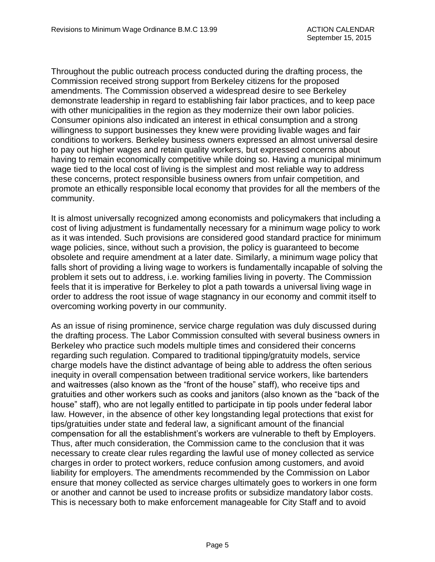Throughout the public outreach process conducted during the drafting process, the Commission received strong support from Berkeley citizens for the proposed amendments. The Commission observed a widespread desire to see Berkeley demonstrate leadership in regard to establishing fair labor practices, and to keep pace with other municipalities in the region as they modernize their own labor policies. Consumer opinions also indicated an interest in ethical consumption and a strong willingness to support businesses they knew were providing livable wages and fair conditions to workers. Berkeley business owners expressed an almost universal desire to pay out higher wages and retain quality workers, but expressed concerns about having to remain economically competitive while doing so. Having a municipal minimum wage tied to the local cost of living is the simplest and most reliable way to address these concerns, protect responsible business owners from unfair competition, and promote an ethically responsible local economy that provides for all the members of the community.

It is almost universally recognized among economists and policymakers that including a cost of living adjustment is fundamentally necessary for a minimum wage policy to work as it was intended. Such provisions are considered good standard practice for minimum wage policies, since, without such a provision, the policy is guaranteed to become obsolete and require amendment at a later date. Similarly, a minimum wage policy that falls short of providing a living wage to workers is fundamentally incapable of solving the problem it sets out to address, i.e. working families living in poverty. The Commission feels that it is imperative for Berkeley to plot a path towards a universal living wage in order to address the root issue of wage stagnancy in our economy and commit itself to overcoming working poverty in our community.

As an issue of rising prominence, service charge regulation was duly discussed during the drafting process. The Labor Commission consulted with several business owners in Berkeley who practice such models multiple times and considered their concerns regarding such regulation. Compared to traditional tipping/gratuity models, service charge models have the distinct advantage of being able to address the often serious inequity in overall compensation between traditional service workers, like bartenders and waitresses (also known as the "front of the house" staff), who receive tips and gratuities and other workers such as cooks and janitors (also known as the "back of the house" staff), who are not legally entitled to participate in tip pools under federal labor law. However, in the absence of other key longstanding legal protections that exist for tips/gratuities under state and federal law, a significant amount of the financial compensation for all the establishment's workers are vulnerable to theft by Employers. Thus, after much consideration, the Commission came to the conclusion that it was necessary to create clear rules regarding the lawful use of money collected as service charges in order to protect workers, reduce confusion among customers, and avoid liability for employers. The amendments recommended by the Commission on Labor ensure that money collected as service charges ultimately goes to workers in one form or another and cannot be used to increase profits or subsidize mandatory labor costs. This is necessary both to make enforcement manageable for City Staff and to avoid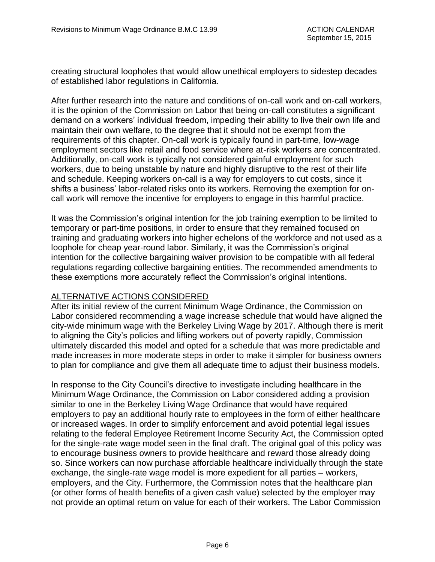creating structural loopholes that would allow unethical employers to sidestep decades of established labor regulations in California.

After further research into the nature and conditions of on-call work and on-call workers, it is the opinion of the Commission on Labor that being on-call constitutes a significant demand on a workers' individual freedom, impeding their ability to live their own life and maintain their own welfare, to the degree that it should not be exempt from the requirements of this chapter. On-call work is typically found in part-time, low-wage employment sectors like retail and food service where at-risk workers are concentrated. Additionally, on-call work is typically not considered gainful employment for such workers, due to being unstable by nature and highly disruptive to the rest of their life and schedule. Keeping workers on-call is a way for employers to cut costs, since it shifts a business' labor-related risks onto its workers. Removing the exemption for oncall work will remove the incentive for employers to engage in this harmful practice.

It was the Commission's original intention for the job training exemption to be limited to temporary or part-time positions, in order to ensure that they remained focused on training and graduating workers into higher echelons of the workforce and not used as a loophole for cheap year-round labor. Similarly, it was the Commission's original intention for the collective bargaining waiver provision to be compatible with all federal regulations regarding collective bargaining entities. The recommended amendments to these exemptions more accurately reflect the Commission's original intentions.

#### ALTERNATIVE ACTIONS CONSIDERED

After its initial review of the current Minimum Wage Ordinance, the Commission on Labor considered recommending a wage increase schedule that would have aligned the city-wide minimum wage with the Berkeley Living Wage by 2017. Although there is merit to aligning the City's policies and lifting workers out of poverty rapidly, Commission ultimately discarded this model and opted for a schedule that was more predictable and made increases in more moderate steps in order to make it simpler for business owners to plan for compliance and give them all adequate time to adjust their business models.

In response to the City Council's directive to investigate including healthcare in the Minimum Wage Ordinance, the Commission on Labor considered adding a provision similar to one in the Berkeley Living Wage Ordinance that would have required employers to pay an additional hourly rate to employees in the form of either healthcare or increased wages. In order to simplify enforcement and avoid potential legal issues relating to the federal Employee Retirement Income Security Act, the Commission opted for the single-rate wage model seen in the final draft. The original goal of this policy was to encourage business owners to provide healthcare and reward those already doing so. Since workers can now purchase affordable healthcare individually through the state exchange, the single-rate wage model is more expedient for all parties – workers, employers, and the City. Furthermore, the Commission notes that the healthcare plan (or other forms of health benefits of a given cash value) selected by the employer may not provide an optimal return on value for each of their workers. The Labor Commission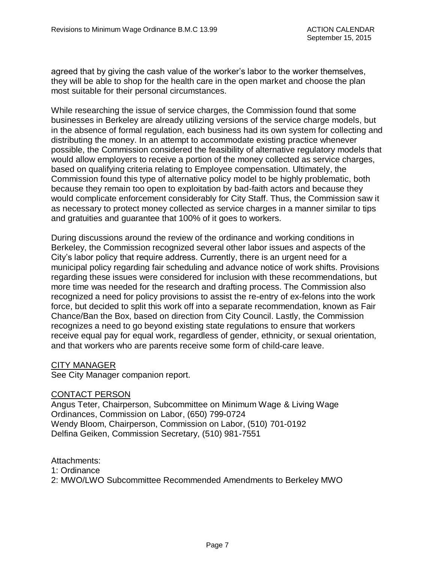agreed that by giving the cash value of the worker's labor to the worker themselves, they will be able to shop for the health care in the open market and choose the plan most suitable for their personal circumstances.

While researching the issue of service charges, the Commission found that some businesses in Berkeley are already utilizing versions of the service charge models, but in the absence of formal regulation, each business had its own system for collecting and distributing the money. In an attempt to accommodate existing practice whenever possible, the Commission considered the feasibility of alternative regulatory models that would allow employers to receive a portion of the money collected as service charges, based on qualifying criteria relating to Employee compensation. Ultimately, the Commission found this type of alternative policy model to be highly problematic, both because they remain too open to exploitation by bad-faith actors and because they would complicate enforcement considerably for City Staff. Thus, the Commission saw it as necessary to protect money collected as service charges in a manner similar to tips and gratuities and guarantee that 100% of it goes to workers.

During discussions around the review of the ordinance and working conditions in Berkeley, the Commission recognized several other labor issues and aspects of the City's labor policy that require address. Currently, there is an urgent need for a municipal policy regarding fair scheduling and advance notice of work shifts. Provisions regarding these issues were considered for inclusion with these recommendations, but more time was needed for the research and drafting process. The Commission also recognized a need for policy provisions to assist the re-entry of ex-felons into the work force, but decided to split this work off into a separate recommendation, known as Fair Chance/Ban the Box, based on direction from City Council. Lastly, the Commission recognizes a need to go beyond existing state regulations to ensure that workers receive equal pay for equal work, regardless of gender, ethnicity, or sexual orientation, and that workers who are parents receive some form of child-care leave.

#### CITY MANAGER

See City Manager companion report.

#### CONTACT PERSON

Angus Teter, Chairperson, Subcommittee on Minimum Wage & Living Wage Ordinances, Commission on Labor, (650) 799-0724 Wendy Bloom, Chairperson, Commission on Labor, (510) 701-0192 Delfina Geiken, Commission Secretary, (510) 981-7551

Attachments:

1: Ordinance

2: MWO/LWO Subcommittee Recommended Amendments to Berkeley MWO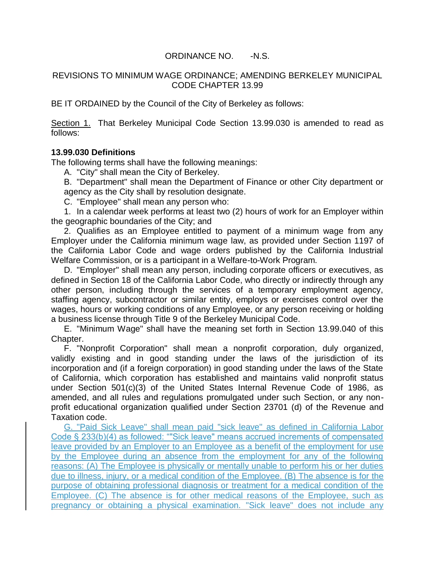#### ORDINANCE NO. -N.S.

#### REVISIONS TO MINIMUM WAGE ORDINANCE; AMENDING BERKELEY MUNICIPAL CODE CHAPTER 13.99

BE IT ORDAINED by the Council of the City of Berkeley as follows:

Section 1. That Berkeley Municipal Code Section 13.99.030 is amended to read as follows:

#### **13.99.030 Definitions**

The following terms shall have the following meanings:

A. "City" shall mean the City of Berkeley.

B. "Department" shall mean the Department of Finance or other City department or agency as the City shall by resolution designate.

C. "Employee" shall mean any person who:

1. In a calendar week performs at least two (2) hours of work for an Employer within the geographic boundaries of the City; and

2. Qualifies as an Employee entitled to payment of a minimum wage from any Employer under the California minimum wage law, as provided under Section 1197 of the California Labor Code and wage orders published by the California Industrial Welfare Commission, or is a participant in a Welfare-to-Work Program.

D. "Employer" shall mean any person, including corporate officers or executives, as defined in Section 18 of the California Labor Code, who directly or indirectly through any other person, including through the services of a temporary employment agency, staffing agency, subcontractor or similar entity, employs or exercises control over the wages, hours or working conditions of any Employee, or any person receiving or holding a business license through Title 9 of the Berkeley Municipal Code.

E. "Minimum Wage" shall have the meaning set forth in Section 13.99.040 of this Chapter.

F. "Nonprofit Corporation" shall mean a nonprofit corporation, duly organized, validly existing and in good standing under the laws of the jurisdiction of its incorporation and (if a foreign corporation) in good standing under the laws of the State of California, which corporation has established and maintains valid nonprofit status under Section 501(c)(3) of the United States Internal Revenue Code of 1986, as amended, and all rules and regulations promulgated under such Section, or any nonprofit educational organization qualified under Section 23701 (d) of the Revenue and Taxation code.

G. "Paid Sick Leave" shall mean paid "sick leave" as defined in California Labor Code § 233(b)(4) as followed: ""Sick leave" means accrued increments of compensated leave provided by an Employer to an Employee as a benefit of the employment for use by the Employee during an absence from the employment for any of the following reasons: (A) The Employee is physically or mentally unable to perform his or her duties due to illness, injury, or a medical condition of the Employee. (B) The absence is for the purpose of obtaining professional diagnosis or treatment for a medical condition of the Employee. (C) The absence is for other medical reasons of the Employee, such as pregnancy or obtaining a physical examination. "Sick leave" does not include any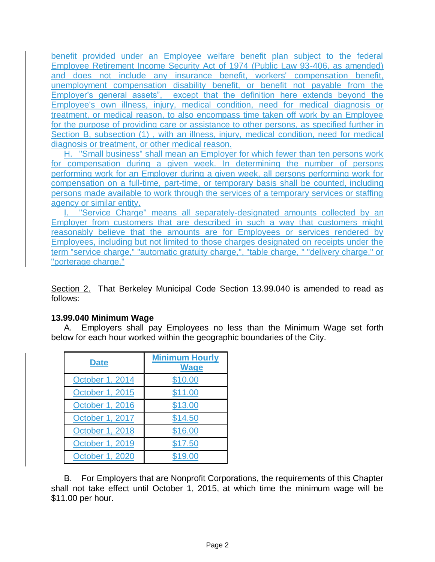benefit provided under an Employee welfare benefit plan subject to the federal Employee Retirement Income Security Act of 1974 (Public Law 93-406, as amended) and does not include any insurance benefit, workers' compensation benefit, unemployment compensation disability benefit, or benefit not payable from the Employer's general assets", except that the definition here extends beyond the Employee's own illness, injury, medical condition, need for medical diagnosis or treatment, or medical reason, to also encompass time taken off work by an Employee for the purpose of providing care or assistance to other persons, as specified further in Section B, subsection (1) , with an illness, injury, medical condition, need for medical diagnosis or treatment, or other medical reason.

H. "Small business" shall mean an Employer for which fewer than ten persons work for compensation during a given week. In determining the number of persons performing work for an Employer during a given week, all persons performing work for compensation on a full-time, part-time, or temporary basis shall be counted, including persons made available to work through the services of a temporary services or staffing agency or similar entity.

I. "Service Charge" means all separately-designated amounts collected by an Employer from customers that are described in such a way that customers might reasonably believe that the amounts are for Employees or services rendered by Employees, including but not limited to those charges designated on receipts under the term "service charge," "automatic gratuity charge,", "table charge, " "delivery charge," or "porterage charge."

Section 2. That Berkeley Municipal Code Section 13.99.040 is amended to read as follows:

#### **13.99.040 Minimum Wage**

A. Employers shall pay Employees no less than the Minimum Wage set forth below for each hour worked within the geographic boundaries of the City.

| <b>Date</b>     | <b>Minimum Hourly</b><br><b>Wage</b> |
|-----------------|--------------------------------------|
| October 1, 2014 | \$10.00                              |
| October 1, 2015 | \$11.00                              |
| October 1, 2016 | \$13.00                              |
| October 1, 2017 | \$14.50                              |
| October 1, 2018 | \$16.00                              |
| October 1, 2019 | \$17.50                              |
| October 1, 2020 | \$19.00                              |

B. For Employers that are Nonprofit Corporations, the requirements of this Chapter shall not take effect until October 1, 2015, at which time the minimum wage will be \$11.00 per hour.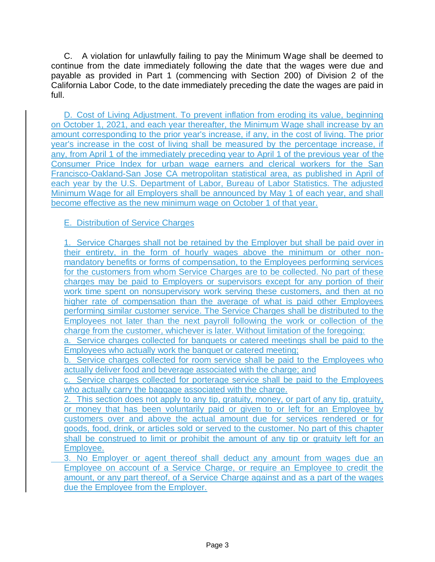C. A violation for unlawfully failing to pay the Minimum Wage shall be deemed to continue from the date immediately following the date that the wages were due and payable as provided in Part 1 (commencing with Section 200) of Division 2 of the California Labor Code, to the date immediately preceding the date the wages are paid in full.

D. Cost of Living Adjustment. To prevent inflation from eroding its value, beginning on October 1, 2021, and each year thereafter, the Minimum Wage shall increase by an amount corresponding to the prior year's increase, if any, in the cost of living. The prior year's increase in the cost of living shall be measured by the percentage increase, if any, from April 1 of the immediately preceding year to April 1 of the previous year of the Consumer Price Index for urban wage earners and clerical workers for the San Francisco-Oakland-San Jose CA metropolitan statistical area, as published in April of each year by the U.S. Department of Labor, Bureau of Labor Statistics. The adjusted Minimum Wage for all Employers shall be announced by May 1 of each year, and shall become effective as the new minimum wage on October 1 of that year.

E. Distribution of Service Charges

1. Service Charges shall not be retained by the Employer but shall be paid over in their entirety, in the form of hourly wages above the minimum or other nonmandatory benefits or forms of compensation, to the Employees performing services for the customers from whom Service Charges are to be collected. No part of these charges may be paid to Employers or supervisors except for any portion of their work time spent on nonsupervisory work serving these customers, and then at no higher rate of compensation than the average of what is paid other Employees performing similar customer service. The Service Charges shall be distributed to the Employees not later than the next payroll following the work or collection of the charge from the customer, whichever is later. Without limitation of the foregoing:

a. Service charges collected for banquets or catered meetings shall be paid to the Employees who actually work the banquet or catered meeting;

b. Service charges collected for room service shall be paid to the Employees who actually deliver food and beverage associated with the charge; and

c. Service charges collected for porterage service shall be paid to the Employees who actually carry the baggage associated with the charge.

2. This section does not apply to any tip, gratuity, money, or part of any tip, gratuity, or money that has been voluntarily paid or given to or left for an Employee by customers over and above the actual amount due for services rendered or for goods, food, drink, or articles sold or served to the customer. No part of this chapter shall be construed to limit or prohibit the amount of any tip or gratuity left for an Employee.

3. No Employer or agent thereof shall deduct any amount from wages due an Employee on account of a Service Charge, or require an Employee to credit the amount, or any part thereof, of a Service Charge against and as a part of the wages due the Employee from the Employer.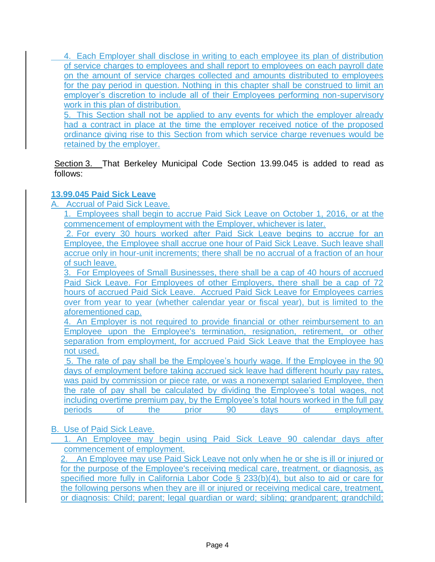4. Each Employer shall disclose in writing to each employee its plan of distribution of service charges to employees and shall report to employees on each payroll date on the amount of service charges collected and amounts distributed to employees for the pay period in question. Nothing in this chapter shall be construed to limit an employer's discretion to include all of their Employees performing non-supervisory work in this plan of distribution.

5. This Section shall not be applied to any events for which the employer already had a contract in place at the time the employer received notice of the proposed ordinance giving rise to this Section from which service charge revenues would be retained by the employer.

Section 3. That Berkeley Municipal Code Section 13.99.045 is added to read as follows:

# **13.99.045 Paid Sick Leave**

A. Accrual of Paid Sick Leave.

1. Employees shall begin to accrue Paid Sick Leave on October 1, 2016, or at the commencement of employment with the Employer, whichever is later.

2. For every 30 hours worked after Paid Sick Leave begins to accrue for an Employee, the Employee shall accrue one hour of Paid Sick Leave. Such leave shall accrue only in hour-unit increments; there shall be no accrual of a fraction of an hour of such leave.

3. For Employees of Small Businesses, there shall be a cap of 40 hours of accrued Paid Sick Leave. For Employees of other Employers, there shall be a cap of 72 hours of accrued Paid Sick Leave. Accrued Paid Sick Leave for Employees carries over from year to year (whether calendar year or fiscal year), but is limited to the aforementioned cap.

4. An Employer is not required to provide financial or other reimbursement to an Employee upon the Employee's termination, resignation, retirement, or other separation from employment, for accrued Paid Sick Leave that the Employee has not used.

5. The rate of pay shall be the Employee's hourly wage. If the Employee in the 90 days of employment before taking accrued sick leave had different hourly pay rates, was paid by commission or piece rate, or was a nonexempt salaried Employee, then the rate of pay shall be calculated by dividing the Employee's total wages, not including overtime premium pay, by the Employee's total hours worked in the full pay periods of the prior 90 days of employment.

# B. Use of Paid Sick Leave.

1. An Employee may begin using Paid Sick Leave 90 calendar days after commencement of employment.

2. An Employee may use Paid Sick Leave not only when he or she is ill or injured or for the purpose of the Employee's receiving medical care, treatment, or diagnosis, as specified more fully in California Labor Code § 233(b)(4), but also to aid or care for the following persons when they are ill or injured or receiving medical care, treatment, or diagnosis: Child; parent; legal guardian or ward; sibling; grandparent; grandchild;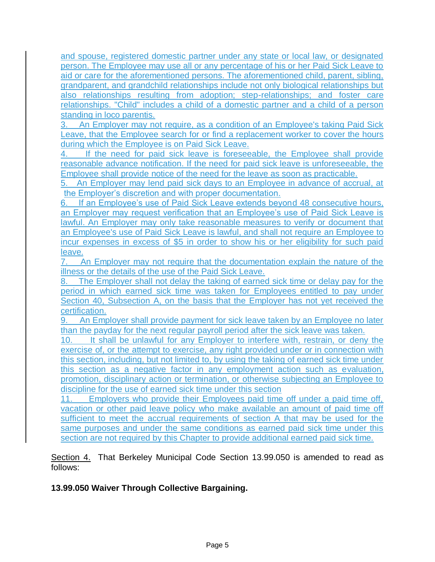and spouse, registered domestic partner under any state or local law, or designated person. The Employee may use all or any percentage of his or her Paid Sick Leave to aid or care for the aforementioned persons. The aforementioned child, parent, sibling, grandparent, and grandchild relationships include not only biological relationships but also relationships resulting from adoption; step-relationships; and foster care relationships. "Child" includes a child of a domestic partner and a child of a person standing in loco parentis.<br>3. An Employer may no

3. An Employer may not require, as a condition of an Employee's taking Paid Sick Leave, that the Employee search for or find a replacement worker to cover the hours during which the Employee is on Paid Sick Leave.

4. If the need for paid sick leave is foreseeable, the Employee shall provide reasonable advance notification. If the need for paid sick leave is unforeseeable, the Employee shall provide notice of the need for the leave as soon as practicable.

5. An Employer may lend paid sick days to an Employee in advance of accrual, at the Employer's discretion and with proper documentation.

6. If an Employee's use of Paid Sick Leave extends beyond 48 consecutive hours, an Employer may request verification that an Employee's use of Paid Sick Leave is lawful. An Employer may only take reasonable measures to verify or document that an Employee's use of Paid Sick Leave is lawful, and shall not require an Employee to incur expenses in excess of \$5 in order to show his or her eligibility for such paid leave.

7. An Employer may not require that the documentation explain the nature of the illness or the details of the use of the Paid Sick Leave.

The Employer shall not delay the taking of earned sick time or delay pay for the period in which earned sick time was taken for Employees entitled to pay under Section 40, Subsection A, on the basis that the Employer has not yet received the certification.

9. An Employer shall provide payment for sick leave taken by an Employee no later than the payday for the next regular payroll period after the sick leave was taken.

10. It shall be unlawful for any Employer to interfere with, restrain, or deny the exercise of, or the attempt to exercise, any right provided under or in connection with this section, including, but not limited to, by using the taking of earned sick time under this section as a negative factor in any employment action such as evaluation, promotion, disciplinary action or termination, or otherwise subjecting an Employee to discipline for the use of earned sick time under this section

11. Employers who provide their Employees paid time off under a paid time off, vacation or other paid leave policy who make available an amount of paid time off sufficient to meet the accrual requirements of section A that may be used for the same purposes and under the same conditions as earned paid sick time under this section are not required by this Chapter to provide additional earned paid sick time.

Section 4. That Berkeley Municipal Code Section 13.99.050 is amended to read as follows:

# **13.99.050 Waiver Through Collective Bargaining.**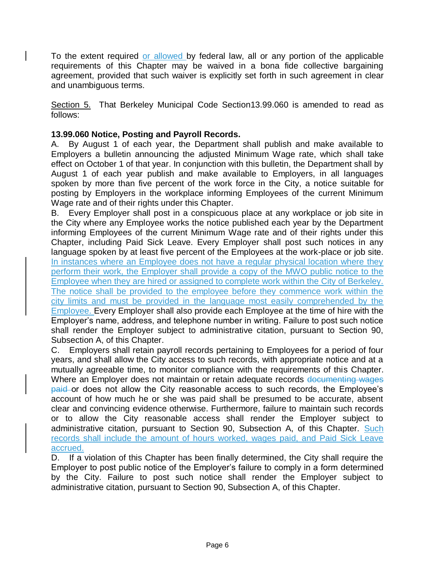To the extent required or allowed by federal law, all or any portion of the applicable requirements of this Chapter may be waived in a bona fide collective bargaining agreement, provided that such waiver is explicitly set forth in such agreement in clear and unambiguous terms.

Section 5. That Berkeley Municipal Code Section 13.99.060 is amended to read as follows:

#### **13.99.060 Notice, Posting and Payroll Records.**

A. By August 1 of each year, the Department shall publish and make available to Employers a bulletin announcing the adjusted Minimum Wage rate, which shall take effect on October 1 of that year. In conjunction with this bulletin, the Department shall by August 1 of each year publish and make available to Employers, in all languages spoken by more than five percent of the work force in the City, a notice suitable for posting by Employers in the workplace informing Employees of the current Minimum Wage rate and of their rights under this Chapter.

B. Every Employer shall post in a conspicuous place at any workplace or job site in the City where any Employee works the notice published each year by the Department informing Employees of the current Minimum Wage rate and of their rights under this Chapter, including Paid Sick Leave. Every Employer shall post such notices in any language spoken by at least five percent of the Employees at the work-place or job site. In instances where an Employee does not have a regular physical location where they perform their work, the Employer shall provide a copy of the MWO public notice to the Employee when they are hired or assigned to complete work within the City of Berkeley. The notice shall be provided to the employee before they commence work within the city limits and must be provided in the language most easily comprehended by the Employee. Every Employer shall also provide each Employee at the time of hire with the Employer's name, address, and telephone number in writing. Failure to post such notice shall render the Employer subject to administrative citation, pursuant to Section 90, Subsection A, of this Chapter.

C. Employers shall retain payroll records pertaining to Employees for a period of four years, and shall allow the City access to such records, with appropriate notice and at a mutually agreeable time, to monitor compliance with the requirements of this Chapter. Where an Employer does not maintain or retain adequate records documenting wages paid or does not allow the City reasonable access to such records, the Employee's account of how much he or she was paid shall be presumed to be accurate, absent clear and convincing evidence otherwise. Furthermore, failure to maintain such records or to allow the City reasonable access shall render the Employer subject to administrative citation, pursuant to Section 90, Subsection A, of this Chapter. Such records shall include the amount of hours worked, wages paid, and Paid Sick Leave accrued.

D. If a violation of this Chapter has been finally determined, the City shall require the Employer to post public notice of the Employer's failure to comply in a form determined by the City. Failure to post such notice shall render the Employer subject to administrative citation, pursuant to Section 90, Subsection A, of this Chapter.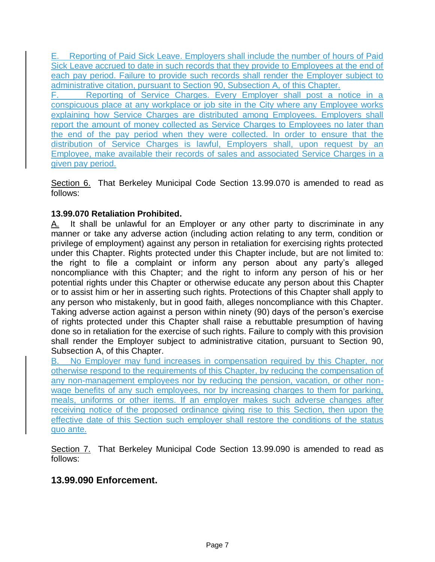E. Reporting of Paid Sick Leave. Employers shall include the number of hours of Paid Sick Leave accrued to date in such records that they provide to Employees at the end of each pay period. Failure to provide such records shall render the Employer subject to administrative citation, pursuant to Section 90, Subsection A, of this Chapter. F. Reporting of Service Charges. Every Employer shall post a notice in a conspicuous place at any workplace or job site in the City where any Employee works explaining how Service Charges are distributed among Employees. Employers shall

report the amount of money collected as Service Charges to Employees no later than the end of the pay period when they were collected. In order to ensure that the distribution of Service Charges is lawful, Employers shall, upon request by an Employee, make available their records of sales and associated Service Charges in a given pay period.

Section 6. That Berkeley Municipal Code Section 13.99.070 is amended to read as follows:

# **13.99.070 Retaliation Prohibited.**

A. It shall be unlawful for an Employer or any other party to discriminate in any manner or take any adverse action (including action relating to any term, condition or privilege of employment) against any person in retaliation for exercising rights protected under this Chapter. Rights protected under this Chapter include, but are not limited to: the right to file a complaint or inform any person about any party's alleged noncompliance with this Chapter; and the right to inform any person of his or her potential rights under this Chapter or otherwise educate any person about this Chapter or to assist him or her in asserting such rights. Protections of this Chapter shall apply to any person who mistakenly, but in good faith, alleges noncompliance with this Chapter. Taking adverse action against a person within ninety (90) days of the person's exercise of rights protected under this Chapter shall raise a rebuttable presumption of having done so in retaliation for the exercise of such rights. Failure to comply with this provision shall render the Employer subject to administrative citation, pursuant to Section 90, Subsection A, of this Chapter.

B. No Employer may fund increases in compensation required by this Chapter, nor otherwise respond to the requirements of this Chapter, by reducing the compensation of any non-management employees nor by reducing the pension, vacation, or other nonwage benefits of any such employees, nor by increasing charges to them for parking, meals, uniforms or other items. If an employer makes such adverse changes after receiving notice of the proposed ordinance giving rise to this Section, then upon the effective date of this Section such employer shall restore the conditions of the status quo ante.

Section 7. That Berkeley Municipal Code Section 13.99.090 is amended to read as follows:

# **13.99.090 Enforcement.**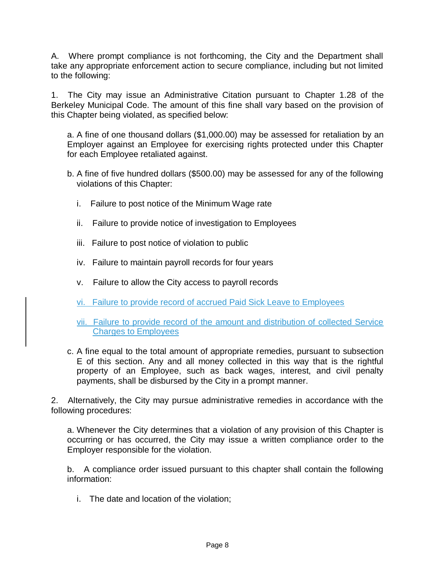A. Where prompt compliance is not forthcoming, the City and the Department shall take any appropriate enforcement action to secure compliance, including but not limited to the following:

1. The City may issue an Administrative Citation pursuant to Chapter 1.28 of the Berkeley Municipal Code. The amount of this fine shall vary based on the provision of this Chapter being violated, as specified below:

a. A fine of one thousand dollars (\$1,000.00) may be assessed for retaliation by an Employer against an Employee for exercising rights protected under this Chapter for each Employee retaliated against.

- b. A fine of five hundred dollars (\$500.00) may be assessed for any of the following violations of this Chapter:
	- i. Failure to post notice of the Minimum Wage rate
	- ii. Failure to provide notice of investigation to Employees
	- iii. Failure to post notice of violation to public
	- iv. Failure to maintain payroll records for four years
	- v. Failure to allow the City access to payroll records
	- vi. Failure to provide record of accrued Paid Sick Leave to Employees
	- vii. Failure to provide record of the amount and distribution of collected Service Charges to Employees
- c. A fine equal to the total amount of appropriate remedies, pursuant to subsection E of this section. Any and all money collected in this way that is the rightful property of an Employee, such as back wages, interest, and civil penalty payments, shall be disbursed by the City in a prompt manner.

2. Alternatively, the City may pursue administrative remedies in accordance with the following procedures:

a. Whenever the City determines that a violation of any provision of this Chapter is occurring or has occurred, the City may issue a written compliance order to the Employer responsible for the violation.

b. A compliance order issued pursuant to this chapter shall contain the following information:

i. The date and location of the violation;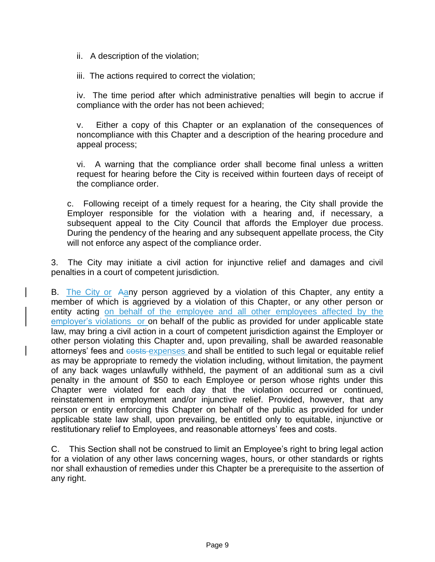ii. A description of the violation;

iii. The actions required to correct the violation;

iv. The time period after which administrative penalties will begin to accrue if compliance with the order has not been achieved;

v. Either a copy of this Chapter or an explanation of the consequences of noncompliance with this Chapter and a description of the hearing procedure and appeal process;

vi. A warning that the compliance order shall become final unless a written request for hearing before the City is received within fourteen days of receipt of the compliance order.

c. Following receipt of a timely request for a hearing, the City shall provide the Employer responsible for the violation with a hearing and, if necessary, a subsequent appeal to the City Council that affords the Employer due process. During the pendency of the hearing and any subsequent appellate process, the City will not enforce any aspect of the compliance order.

3. The City may initiate a civil action for injunctive relief and damages and civil penalties in a court of competent jurisdiction.

B. The City or Aany person aggrieved by a violation of this Chapter, any entity a member of which is aggrieved by a violation of this Chapter, or any other person or entity acting on behalf of the employee and all other employees affected by the employer's violations or on behalf of the public as provided for under applicable state law, may bring a civil action in a court of competent jurisdiction against the Employer or other person violating this Chapter and, upon prevailing, shall be awarded reasonable attorneys' fees and costs expenses and shall be entitled to such legal or equitable relief as may be appropriate to remedy the violation including, without limitation, the payment of any back wages unlawfully withheld, the payment of an additional sum as a civil penalty in the amount of \$50 to each Employee or person whose rights under this Chapter were violated for each day that the violation occurred or continued, reinstatement in employment and/or injunctive relief. Provided, however, that any person or entity enforcing this Chapter on behalf of the public as provided for under applicable state law shall, upon prevailing, be entitled only to equitable, injunctive or restitutionary relief to Employees, and reasonable attorneys' fees and costs.

C. This Section shall not be construed to limit an Employee's right to bring legal action for a violation of any other laws concerning wages, hours, or other standards or rights nor shall exhaustion of remedies under this Chapter be a prerequisite to the assertion of any right.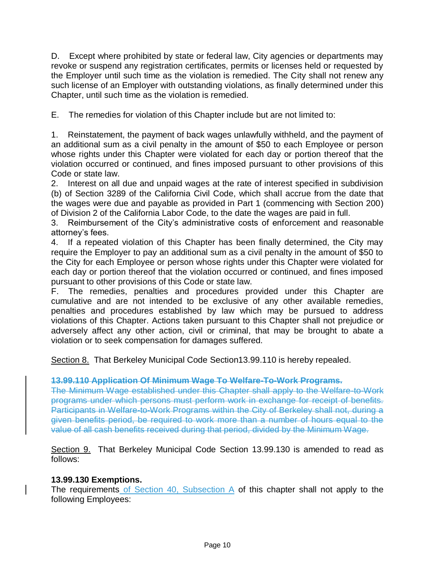D. Except where prohibited by state or federal law, City agencies or departments may revoke or suspend any registration certificates, permits or licenses held or requested by the Employer until such time as the violation is remedied. The City shall not renew any such license of an Employer with outstanding violations, as finally determined under this Chapter, until such time as the violation is remedied.

E. The remedies for violation of this Chapter include but are not limited to:

1. Reinstatement, the payment of back wages unlawfully withheld, and the payment of an additional sum as a civil penalty in the amount of \$50 to each Employee or person whose rights under this Chapter were violated for each day or portion thereof that the violation occurred or continued, and fines imposed pursuant to other provisions of this Code or state law.

2. Interest on all due and unpaid wages at the rate of interest specified in subdivision (b) of Section 3289 of the California Civil Code, which shall accrue from the date that the wages were due and payable as provided in Part 1 (commencing with Section 200) of Division 2 of the California Labor Code, to the date the wages are paid in full.

3. Reimbursement of the City's administrative costs of enforcement and reasonable attorney's fees.

4. If a repeated violation of this Chapter has been finally determined, the City may require the Employer to pay an additional sum as a civil penalty in the amount of \$50 to the City for each Employee or person whose rights under this Chapter were violated for each day or portion thereof that the violation occurred or continued, and fines imposed pursuant to other provisions of this Code or state law.

F. The remedies, penalties and procedures provided under this Chapter are cumulative and are not intended to be exclusive of any other available remedies, penalties and procedures established by law which may be pursued to address violations of this Chapter. Actions taken pursuant to this Chapter shall not prejudice or adversely affect any other action, civil or criminal, that may be brought to abate a violation or to seek compensation for damages suffered.

Section 8. That Berkeley Municipal Code Section13.99.110 is hereby repealed.

#### **13.99.110 Application Of Minimum Wage To Welfare-To-Work Programs.**

The Minimum Wage established under this Chapter shall apply to the Welfare-to-Work programs under which persons must perform work in exchange for receipt of benefits. Participants in Welfare-to-Work Programs within the City of Berkeley shall not, during a given benefits period, be required to work more than a number of hours equal to the value of all cash benefits received during that period, divided by the Minimum Wage.

Section 9. That Berkeley Municipal Code Section 13.99.130 is amended to read as follows:

#### **13.99.130 Exemptions.**

The requirements of Section  $40$ , Subsection A of this chapter shall not apply to the following Employees: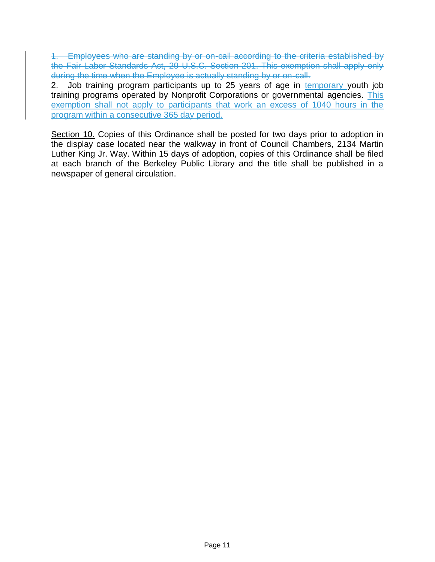1. Employees who are standing by or on-call according to the criteria established by the Fair Labor Standards Act, 29 U.S.C. Section 201. This exemption shall apply only during the time when the Employee is actually standing by or on-call.

2. Job training program participants up to 25 years of age in temporary youth job training programs operated by Nonprofit Corporations or governmental agencies. This exemption shall not apply to participants that work an excess of 1040 hours in the program within a consecutive 365 day period.

Section 10. Copies of this Ordinance shall be posted for two days prior to adoption in the display case located near the walkway in front of Council Chambers, 2134 Martin Luther King Jr. Way. Within 15 days of adoption, copies of this Ordinance shall be filed at each branch of the Berkeley Public Library and the title shall be published in a newspaper of general circulation.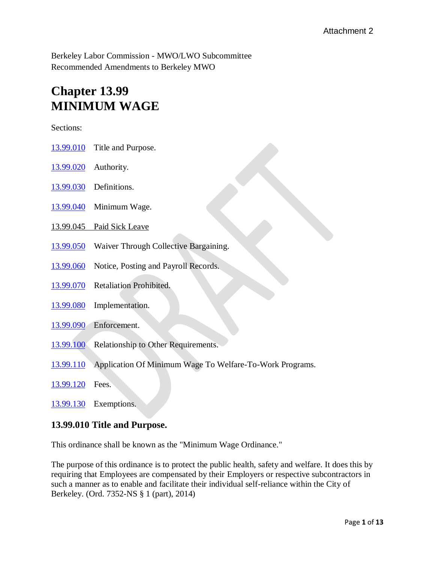Berkeley Labor Commission - MWO/LWO Subcommittee Recommended Amendments to Berkeley MWO

# **Chapter 13.99 MINIMUM WAGE**

Sections:

- [13.99.010](http://codepublishing.com/CA/Berkeley/cgi/NewSmartCompile.pl?path=berkeley13/Berkeley1399/Berkeley1399.html#13.99.010) Title and Purpose.
- [13.99.020](http://codepublishing.com/CA/Berkeley/cgi/NewSmartCompile.pl?path=berkeley13/Berkeley1399/Berkeley1399.html#13.99.020) Authority.
- [13.99.030](http://codepublishing.com/CA/Berkeley/cgi/NewSmartCompile.pl?path=berkeley13/Berkeley1399/Berkeley1399.html#13.99.030) Definitions.
- [13.99.040](http://codepublishing.com/CA/Berkeley/cgi/NewSmartCompile.pl?path=berkeley13/Berkeley1399/Berkeley1399.html#13.99.040) Minimum Wage.
- 13.99.045 Paid Sick Leave
- [13.99.050](http://codepublishing.com/CA/Berkeley/cgi/NewSmartCompile.pl?path=berkeley13/Berkeley1399/Berkeley1399.html#13.99.050) Waiver Through Collective Bargaining.
- [13.99.060](http://codepublishing.com/CA/Berkeley/cgi/NewSmartCompile.pl?path=berkeley13/Berkeley1399/Berkeley1399.html#13.99.060) Notice, Posting and Payroll Records.
- [13.99.070](http://codepublishing.com/CA/Berkeley/cgi/NewSmartCompile.pl?path=berkeley13/Berkeley1399/Berkeley1399.html#13.99.070) Retaliation Prohibited.
- [13.99.080](http://codepublishing.com/CA/Berkeley/cgi/NewSmartCompile.pl?path=berkeley13/Berkeley1399/Berkeley1399.html#13.99.080) Implementation.
- [13.99.090](http://codepublishing.com/CA/Berkeley/cgi/NewSmartCompile.pl?path=berkeley13/Berkeley1399/Berkeley1399.html#13.99.090) Enforcement.
- [13.99.100](http://codepublishing.com/CA/Berkeley/cgi/NewSmartCompile.pl?path=berkeley13/Berkeley1399/Berkeley1399.html#13.99.100) Relationship to Other Requirements.
- [13.99.110](http://codepublishing.com/CA/Berkeley/cgi/NewSmartCompile.pl?path=berkeley13/Berkeley1399/Berkeley1399.html#13.99.110) Application Of Minimum Wage To Welfare-To-Work Programs.
- [13.99.120](http://codepublishing.com/CA/Berkeley/cgi/NewSmartCompile.pl?path=berkeley13/Berkeley1399/Berkeley1399.html#13.99.120) Fees.
- [13.99.130](http://codepublishing.com/CA/Berkeley/cgi/NewSmartCompile.pl?path=berkeley13/Berkeley1399/Berkeley1399.html#13.99.130) Exemptions.

#### **13.99.010 Title and Purpose.**

This ordinance shall be known as the "Minimum Wage Ordinance."

The purpose of this ordinance is to protect the public health, safety and welfare. It does this by requiring that Employees are compensated by their Employers or respective subcontractors in such a manner as to enable and facilitate their individual self-reliance within the City of Berkeley. (Ord. 7352-NS § 1 (part), 2014)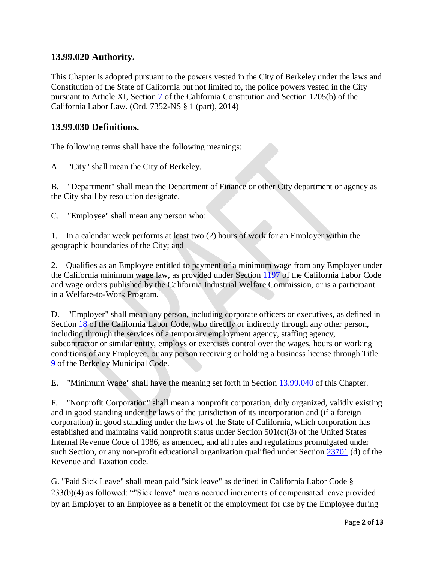# **13.99.020 Authority.**

This Chapter is adopted pursuant to the powers vested in the City of Berkeley under the laws and Constitution of the State of California but not limited to, the police powers vested in the City pursuant to Article XI, Section [7](http://leginfo.legislature.ca.gov/faces/codes_displaySection.xhtml?lawCode=CONS§ionNum=SEC.%207.&article=XI) of the California Constitution and Section 1205(b) of the California Labor Law. (Ord. 7352-NS § 1 (part), 2014)

# **13.99.030 Definitions.**

The following terms shall have the following meanings:

A. "City" shall mean the City of Berkeley.

B. "Department" shall mean the Department of Finance or other City department or agency as the City shall by resolution designate.

C. "Employee" shall mean any person who:

1. In a calendar week performs at least two (2) hours of work for an Employer within the geographic boundaries of the City; and

2. Qualifies as an Employee entitled to payment of a minimum wage from any Employer under the California minimum wage law, as provided under Section [1197](http://leginfo.legislature.ca.gov/faces/codes_displaySection.xhtml?lawCode=LAB§ionNum=1197) of the California Labor Code and wage orders published by the California Industrial Welfare Commission, or is a participant in a Welfare-to-Work Program.

D. "Employer" shall mean any person, including corporate officers or executives, as defined in Section [18](http://leginfo.legislature.ca.gov/faces/codes_displaySection.xhtml?lawCode=LAB§ionNum=18) of the California Labor Code, who directly or indirectly through any other person, including through the services of a temporary employment agency, staffing agency, subcontractor or similar entity, employs or exercises control over the wages, hours or working conditions of any Employee, or any person receiving or holding a business license through Title [9](http://codepublishing.com/CA/Berkeley/html/Berkeley09/Berkeley09.html#9) of the Berkeley Municipal Code.

E. "Minimum Wage" shall have the meaning set forth in Section [13.99.040](http://codepublishing.com/CA/Berkeley/html/Berkeley13/Berkeley1399/Berkeley1399040.html#13.99.040) of this Chapter.

F. "Nonprofit Corporation" shall mean a nonprofit corporation, duly organized, validly existing and in good standing under the laws of the jurisdiction of its incorporation and (if a foreign corporation) in good standing under the laws of the State of California, which corporation has established and maintains valid nonprofit status under Section 501(c)(3) of the United States Internal Revenue Code of 1986, as amended, and all rules and regulations promulgated under such Section, or any non-profit educational organization qualified under Section [23701](http://leginfo.legislature.ca.gov/faces/codes_displaySection.xhtml?lawCode=RTC§ionNum=23701) (d) of the Revenue and Taxation code.

G. "Paid Sick Leave" shall mean paid "sick leave" as defined in California Labor Code § 233(b)(4) as followed: ""Sick leave" means accrued increments of compensated leave provided by an Employer to an Employee as a benefit of the employment for use by the Employee during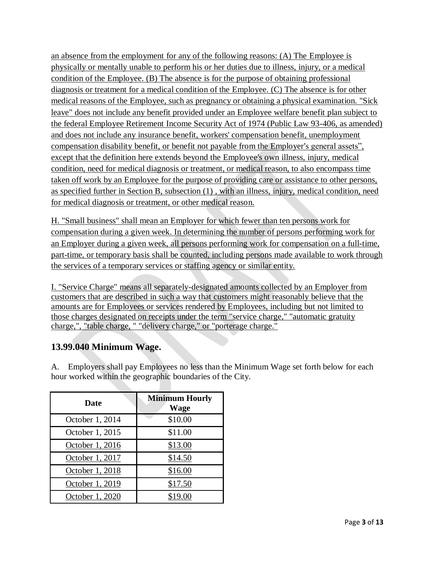an absence from the employment for any of the following reasons: (A) The Employee is physically or mentally unable to perform his or her duties due to illness, injury, or a medical condition of the Employee. (B) The absence is for the purpose of obtaining professional diagnosis or treatment for a medical condition of the Employee. (C) The absence is for other medical reasons of the Employee, such as pregnancy or obtaining a physical examination. "Sick leave" does not include any benefit provided under an Employee welfare benefit plan subject to the federal Employee Retirement Income Security Act of 1974 (Public Law 93-406, as amended) and does not include any insurance benefit, workers' compensation benefit, unemployment compensation disability benefit, or benefit not payable from the Employer's general assets", except that the definition here extends beyond the Employee's own illness, injury, medical condition, need for medical diagnosis or treatment, or medical reason, to also encompass time taken off work by an Employee for the purpose of providing care or assistance to other persons, as specified further in Section B, subsection (1) , with an illness, injury, medical condition, need for medical diagnosis or treatment, or other medical reason.

H. "Small business" shall mean an Employer for which fewer than ten persons work for compensation during a given week. In determining the number of persons performing work for an Employer during a given week, all persons performing work for compensation on a full-time, part-time, or temporary basis shall be counted, including persons made available to work through the services of a temporary services or staffing agency or similar entity.

I. "Service Charge" means all separately-designated amounts collected by an Employer from customers that are described in such a way that customers might reasonably believe that the amounts are for Employees or services rendered by Employees, including but not limited to those charges designated on receipts under the term "service charge," "automatic gratuity charge,", "table charge, " "delivery charge," or "porterage charge."

# **13.99.040 Minimum Wage.**

A. Employers shall pay Employees no less than the Minimum Wage set forth below for each hour worked within the geographic boundaries of the City.

| <b>Date</b>     | <b>Minimum Hourly</b><br>Wage |
|-----------------|-------------------------------|
| October 1, 2014 | \$10.00                       |
| October 1, 2015 | \$11.00                       |
| October 1, 2016 | \$13.00                       |
| October 1, 2017 | \$14.50                       |
| October 1, 2018 | \$16.00                       |
| October 1, 2019 | \$17.50                       |
| October 1, 2020 | \$19.00                       |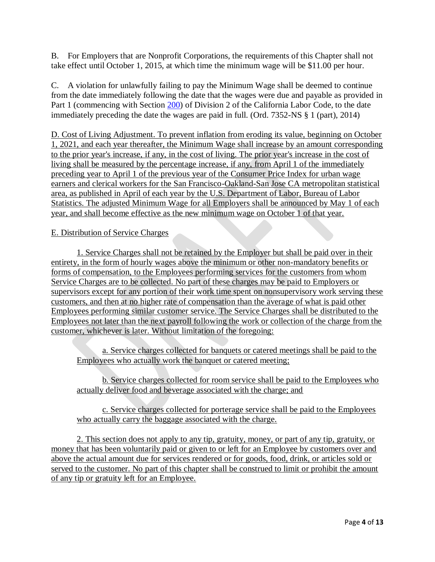B. For Employers that are Nonprofit Corporations, the requirements of this Chapter shall not take effect until October 1, 2015, at which time the minimum wage will be \$11.00 per hour.

C. A violation for unlawfully failing to pay the Minimum Wage shall be deemed to continue from the date immediately following the date that the wages were due and payable as provided in Part 1 (commencing with Section [200\)](http://leginfo.legislature.ca.gov/faces/codes_displaySection.xhtml?lawCode=LAB§ionNum=200) of Division 2 of the California Labor Code, to the date immediately preceding the date the wages are paid in full. (Ord. 7352-NS § 1 (part), 2014)

D. Cost of Living Adjustment. To prevent inflation from eroding its value, beginning on October 1, 2021, and each year thereafter, the Minimum Wage shall increase by an amount corresponding to the prior year's increase, if any, in the cost of living. The prior year's increase in the cost of living shall be measured by the percentage increase, if any, from April 1 of the immediately preceding year to April 1 of the previous year of the Consumer Price Index for urban wage earners and clerical workers for the San Francisco-Oakland-San Jose CA metropolitan statistical area, as published in April of each year by the U.S. Department of Labor, Bureau of Labor Statistics. The adjusted Minimum Wage for all Employers shall be announced by May 1 of each year, and shall become effective as the new minimum wage on October 1 of that year.

#### E. Distribution of Service Charges

1. Service Charges shall not be retained by the Employer but shall be paid over in their entirety, in the form of hourly wages above the minimum or other non-mandatory benefits or forms of compensation, to the Employees performing services for the customers from whom Service Charges are to be collected. No part of these charges may be paid to Employers or supervisors except for any portion of their work time spent on nonsupervisory work serving these customers, and then at no higher rate of compensation than the average of what is paid other Employees performing similar customer service. The Service Charges shall be distributed to the Employees not later than the next payroll following the work or collection of the charge from the customer, whichever is later. Without limitation of the foregoing:

a. Service charges collected for banquets or catered meetings shall be paid to the Employees who actually work the banquet or catered meeting;

b. Service charges collected for room service shall be paid to the Employees who actually deliver food and beverage associated with the charge; and

c. Service charges collected for porterage service shall be paid to the Employees who actually carry the baggage associated with the charge.

2. This section does not apply to any tip, gratuity, money, or part of any tip, gratuity, or money that has been voluntarily paid or given to or left for an Employee by customers over and above the actual amount due for services rendered or for goods, food, drink, or articles sold or served to the customer. No part of this chapter shall be construed to limit or prohibit the amount of any tip or gratuity left for an Employee.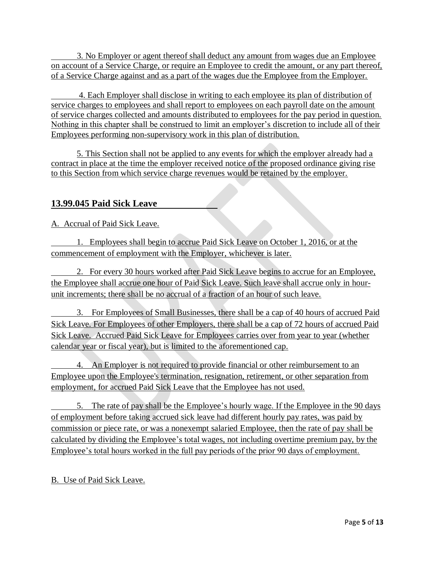3. No Employer or agent thereof shall deduct any amount from wages due an Employee on account of a Service Charge, or require an Employee to credit the amount, or any part thereof, of a Service Charge against and as a part of the wages due the Employee from the Employer.

 4. Each Employer shall disclose in writing to each employee its plan of distribution of service charges to employees and shall report to employees on each payroll date on the amount of service charges collected and amounts distributed to employees for the pay period in question. Nothing in this chapter shall be construed to limit an employer's discretion to include all of their Employees performing non-supervisory work in this plan of distribution.

5. This Section shall not be applied to any events for which the employer already had a contract in place at the time the employer received notice of the proposed ordinance giving rise to this Section from which service charge revenues would be retained by the employer.

# **13.99.045 Paid Sick Leave**

A. Accrual of Paid Sick Leave.

 1. Employees shall begin to accrue Paid Sick Leave on October 1, 2016, or at the commencement of employment with the Employer, whichever is later.

 2. For every 30 hours worked after Paid Sick Leave begins to accrue for an Employee, the Employee shall accrue one hour of Paid Sick Leave. Such leave shall accrue only in hourunit increments; there shall be no accrual of a fraction of an hour of such leave.

 3. For Employees of Small Businesses, there shall be a cap of 40 hours of accrued Paid Sick Leave. For Employees of other Employers, there shall be a cap of 72 hours of accrued Paid Sick Leave. Accrued Paid Sick Leave for Employees carries over from year to year (whether calendar year or fiscal year), but is limited to the aforementioned cap.

 4. An Employer is not required to provide financial or other reimbursement to an Employee upon the Employee's termination, resignation, retirement, or other separation from employment, for accrued Paid Sick Leave that the Employee has not used.

 5. The rate of pay shall be the Employee's hourly wage. If the Employee in the 90 days of employment before taking accrued sick leave had different hourly pay rates, was paid by commission or piece rate, or was a nonexempt salaried Employee, then the rate of pay shall be calculated by dividing the Employee's total wages, not including overtime premium pay, by the Employee's total hours worked in the full pay periods of the prior 90 days of employment.

# B. Use of Paid Sick Leave.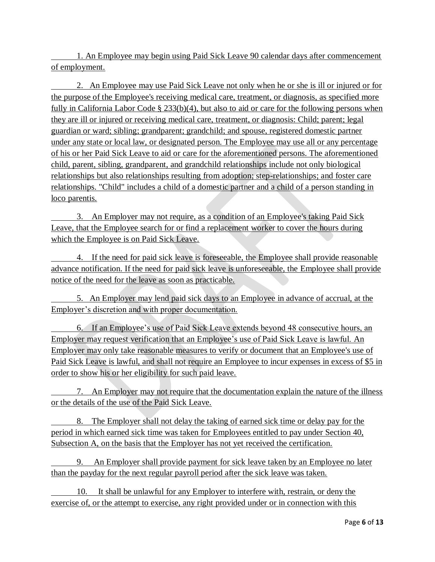1. An Employee may begin using Paid Sick Leave 90 calendar days after commencement of employment.

 2. An Employee may use Paid Sick Leave not only when he or she is ill or injured or for the purpose of the Employee's receiving medical care, treatment, or diagnosis, as specified more fully in California Labor Code § 233(b)(4), but also to aid or care for the following persons when they are ill or injured or receiving medical care, treatment, or diagnosis: Child; parent; legal guardian or ward; sibling; grandparent; grandchild; and spouse, registered domestic partner under any state or local law, or designated person. The Employee may use all or any percentage of his or her Paid Sick Leave to aid or care for the aforementioned persons. The aforementioned child, parent, sibling, grandparent, and grandchild relationships include not only biological relationships but also relationships resulting from adoption; step-relationships; and foster care relationships. "Child" includes a child of a domestic partner and a child of a person standing in loco parentis.

 3. An Employer may not require, as a condition of an Employee's taking Paid Sick Leave, that the Employee search for or find a replacement worker to cover the hours during which the Employee is on Paid Sick Leave.

 4. If the need for paid sick leave is foreseeable, the Employee shall provide reasonable advance notification. If the need for paid sick leave is unforeseeable, the Employee shall provide notice of the need for the leave as soon as practicable.

 5. An Employer may lend paid sick days to an Employee in advance of accrual, at the Employer's discretion and with proper documentation.

 6. If an Employee's use of Paid Sick Leave extends beyond 48 consecutive hours, an Employer may request verification that an Employee's use of Paid Sick Leave is lawful. An Employer may only take reasonable measures to verify or document that an Employee's use of Paid Sick Leave is lawful, and shall not require an Employee to incur expenses in excess of \$5 in order to show his or her eligibility for such paid leave.

 7. An Employer may not require that the documentation explain the nature of the illness or the details of the use of the Paid Sick Leave.

 8. The Employer shall not delay the taking of earned sick time or delay pay for the period in which earned sick time was taken for Employees entitled to pay under Section 40, Subsection A, on the basis that the Employer has not yet received the certification.

 9. An Employer shall provide payment for sick leave taken by an Employee no later than the payday for the next regular payroll period after the sick leave was taken.

 10. It shall be unlawful for any Employer to interfere with, restrain, or deny the exercise of, or the attempt to exercise, any right provided under or in connection with this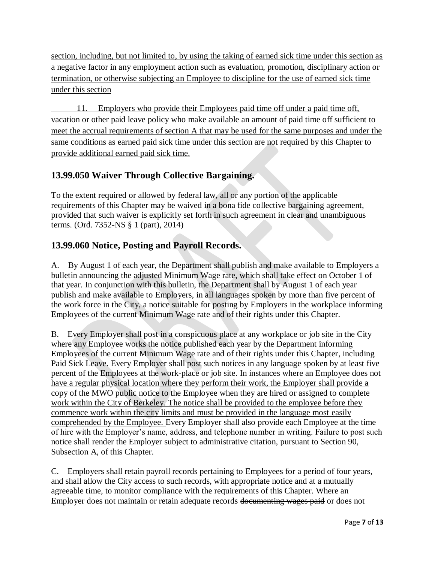section, including, but not limited to, by using the taking of earned sick time under this section as a negative factor in any employment action such as evaluation, promotion, disciplinary action or termination, or otherwise subjecting an Employee to discipline for the use of earned sick time under this section

 11. Employers who provide their Employees paid time off under a paid time off, vacation or other paid leave policy who make available an amount of paid time off sufficient to meet the accrual requirements of section A that may be used for the same purposes and under the same conditions as earned paid sick time under this section are not required by this Chapter to provide additional earned paid sick time.

# **13.99.050 Waiver Through Collective Bargaining.**

To the extent required or allowed by federal law, all or any portion of the applicable requirements of this Chapter may be waived in a bona fide collective bargaining agreement, provided that such waiver is explicitly set forth in such agreement in clear and unambiguous terms. (Ord. 7352-NS § 1 (part), 2014)

# **13.99.060 Notice, Posting and Payroll Records.**

A. By August 1 of each year, the Department shall publish and make available to Employers a bulletin announcing the adjusted Minimum Wage rate, which shall take effect on October 1 of that year. In conjunction with this bulletin, the Department shall by August 1 of each year publish and make available to Employers, in all languages spoken by more than five percent of the work force in the City, a notice suitable for posting by Employers in the workplace informing Employees of the current Minimum Wage rate and of their rights under this Chapter.

B. Every Employer shall post in a conspicuous place at any workplace or job site in the City where any Employee works the notice published each year by the Department informing Employees of the current Minimum Wage rate and of their rights under this Chapter, including Paid Sick Leave. Every Employer shall post such notices in any language spoken by at least five percent of the Employees at the work-place or job site. In instances where an Employee does not have a regular physical location where they perform their work, the Employer shall provide a copy of the MWO public notice to the Employee when they are hired or assigned to complete work within the City of Berkeley. The notice shall be provided to the employee before they commence work within the city limits and must be provided in the language most easily comprehended by the Employee. Every Employer shall also provide each Employee at the time of hire with the Employer's name, address, and telephone number in writing. Failure to post such notice shall render the Employer subject to administrative citation, pursuant to Section 90, Subsection A, of this Chapter.

C. Employers shall retain payroll records pertaining to Employees for a period of four years, and shall allow the City access to such records, with appropriate notice and at a mutually agreeable time, to monitor compliance with the requirements of this Chapter. Where an Employer does not maintain or retain adequate records documenting wages paid or does not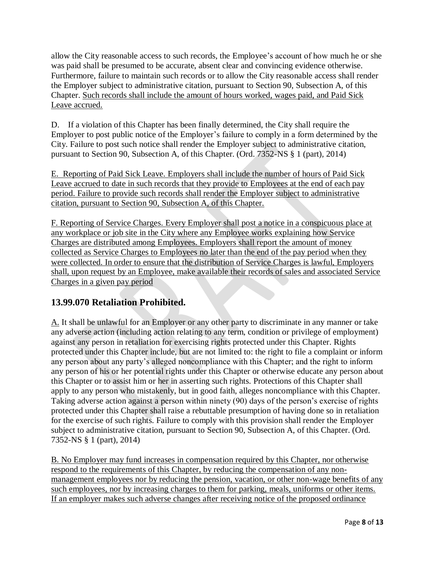allow the City reasonable access to such records, the Employee's account of how much he or she was paid shall be presumed to be accurate, absent clear and convincing evidence otherwise. Furthermore, failure to maintain such records or to allow the City reasonable access shall render the Employer subject to administrative citation, pursuant to Section 90, Subsection A, of this Chapter. Such records shall include the amount of hours worked, wages paid, and Paid Sick Leave accrued.

D. If a violation of this Chapter has been finally determined, the City shall require the Employer to post public notice of the Employer's failure to comply in a form determined by the City. Failure to post such notice shall render the Employer subject to administrative citation, pursuant to Section 90, Subsection A, of this Chapter. (Ord. 7352-NS § 1 (part), 2014)

E. Reporting of Paid Sick Leave. Employers shall include the number of hours of Paid Sick Leave accrued to date in such records that they provide to Employees at the end of each pay period. Failure to provide such records shall render the Employer subject to administrative citation, pursuant to Section 90, Subsection A, of this Chapter.

F. Reporting of Service Charges. Every Employer shall post a notice in a conspicuous place at any workplace or job site in the City where any Employee works explaining how Service Charges are distributed among Employees. Employers shall report the amount of money collected as Service Charges to Employees no later than the end of the pay period when they were collected. In order to ensure that the distribution of Service Charges is lawful, Employers shall, upon request by an Employee, make available their records of sales and associated Service Charges in a given pay period

# **13.99.070 Retaliation Prohibited.**

A. It shall be unlawful for an Employer or any other party to discriminate in any manner or take any adverse action (including action relating to any term, condition or privilege of employment) against any person in retaliation for exercising rights protected under this Chapter. Rights protected under this Chapter include, but are not limited to: the right to file a complaint or inform any person about any party's alleged noncompliance with this Chapter; and the right to inform any person of his or her potential rights under this Chapter or otherwise educate any person about this Chapter or to assist him or her in asserting such rights. Protections of this Chapter shall apply to any person who mistakenly, but in good faith, alleges noncompliance with this Chapter. Taking adverse action against a person within ninety (90) days of the person's exercise of rights protected under this Chapter shall raise a rebuttable presumption of having done so in retaliation for the exercise of such rights. Failure to comply with this provision shall render the Employer subject to administrative citation, pursuant to Section 90, Subsection A, of this Chapter. (Ord. 7352-NS § 1 (part), 2014)

B. No Employer may fund increases in compensation required by this Chapter, nor otherwise respond to the requirements of this Chapter, by reducing the compensation of any nonmanagement employees nor by reducing the pension, vacation, or other non-wage benefits of any such employees, nor by increasing charges to them for parking, meals, uniforms or other items. If an employer makes such adverse changes after receiving notice of the proposed ordinance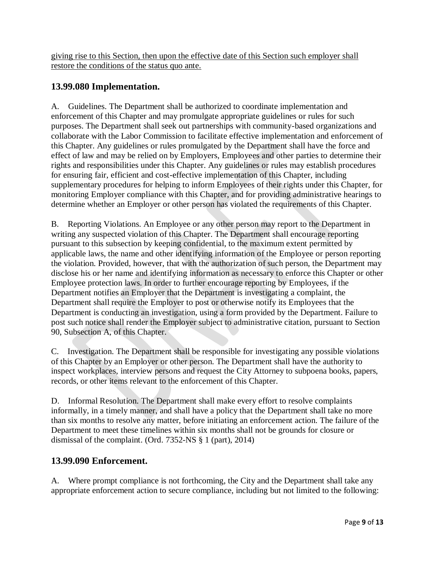giving rise to this Section, then upon the effective date of this Section such employer shall restore the conditions of the status quo ante.

# **13.99.080 Implementation.**

A. Guidelines. The Department shall be authorized to coordinate implementation and enforcement of this Chapter and may promulgate appropriate guidelines or rules for such purposes. The Department shall seek out partnerships with community-based organizations and collaborate with the Labor Commission to facilitate effective implementation and enforcement of this Chapter. Any guidelines or rules promulgated by the Department shall have the force and effect of law and may be relied on by Employers, Employees and other parties to determine their rights and responsibilities under this Chapter. Any guidelines or rules may establish procedures for ensuring fair, efficient and cost-effective implementation of this Chapter, including supplementary procedures for helping to inform Employees of their rights under this Chapter, for monitoring Employer compliance with this Chapter, and for providing administrative hearings to determine whether an Employer or other person has violated the requirements of this Chapter.

B. Reporting Violations. An Employee or any other person may report to the Department in writing any suspected violation of this Chapter. The Department shall encourage reporting pursuant to this subsection by keeping confidential, to the maximum extent permitted by applicable laws, the name and other identifying information of the Employee or person reporting the violation. Provided, however, that with the authorization of such person, the Department may disclose his or her name and identifying information as necessary to enforce this Chapter or other Employee protection laws. In order to further encourage reporting by Employees, if the Department notifies an Employer that the Department is investigating a complaint, the Department shall require the Employer to post or otherwise notify its Employees that the Department is conducting an investigation, using a form provided by the Department. Failure to post such notice shall render the Employer subject to administrative citation, pursuant to Section 90, Subsection A, of this Chapter.

C. Investigation. The Department shall be responsible for investigating any possible violations of this Chapter by an Employer or other person. The Department shall have the authority to inspect workplaces, interview persons and request the City Attorney to subpoena books, papers, records, or other items relevant to the enforcement of this Chapter.

D. Informal Resolution. The Department shall make every effort to resolve complaints informally, in a timely manner, and shall have a policy that the Department shall take no more than six months to resolve any matter, before initiating an enforcement action. The failure of the Department to meet these timelines within six months shall not be grounds for closure or dismissal of the complaint. (Ord. 7352-NS § 1 (part), 2014)

#### **13.99.090 Enforcement.**

A. Where prompt compliance is not forthcoming, the City and the Department shall take any appropriate enforcement action to secure compliance, including but not limited to the following: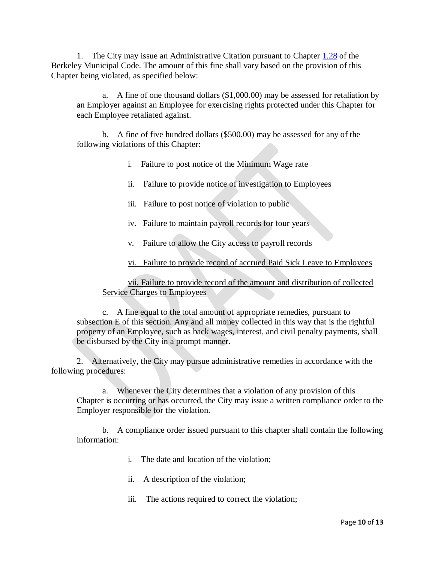1. The City may issue an Administrative Citation pursuant to Chapter [1.28](http://codepublishing.com/CA/Berkeley/html/Berkeley01/Berkeley0128/Berkeley0128.html#1.28) of the Berkeley Municipal Code. The amount of this fine shall vary based on the provision of this Chapter being violated, as specified below:

a. A fine of one thousand dollars (\$1,000.00) may be assessed for retaliation by an Employer against an Employee for exercising rights protected under this Chapter for each Employee retaliated against.

b. A fine of five hundred dollars (\$500.00) may be assessed for any of the following violations of this Chapter:

- i. Failure to post notice of the Minimum Wage rate
- ii. Failure to provide notice of investigation to Employees
- iii. Failure to post notice of violation to public
- iv. Failure to maintain payroll records for four years
- v. Failure to allow the City access to payroll records

vi. Failure to provide record of accrued Paid Sick Leave to Employees

vii. Failure to provide record of the amount and distribution of collected Service Charges to Employees

c. A fine equal to the total amount of appropriate remedies, pursuant to subsection E of this section. Any and all money collected in this way that is the rightful property of an Employee, such as back wages, interest, and civil penalty payments, shall be disbursed by the City in a prompt manner.

2. Alternatively, the City may pursue administrative remedies in accordance with the following procedures:

a. Whenever the City determines that a violation of any provision of this Chapter is occurring or has occurred, the City may issue a written compliance order to the Employer responsible for the violation.

b. A compliance order issued pursuant to this chapter shall contain the following information:

- i. The date and location of the violation;
- ii. A description of the violation;
- iii. The actions required to correct the violation;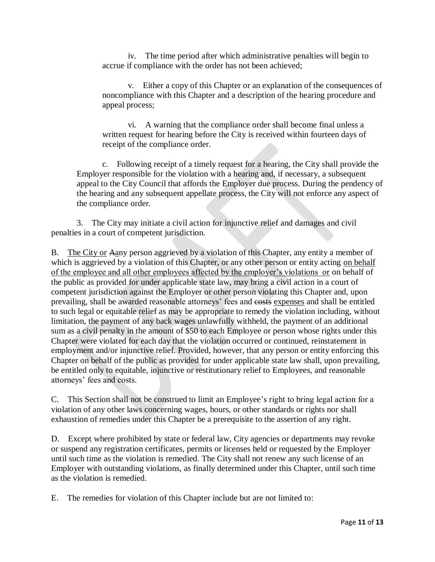iv. The time period after which administrative penalties will begin to accrue if compliance with the order has not been achieved;

v. Either a copy of this Chapter or an explanation of the consequences of noncompliance with this Chapter and a description of the hearing procedure and appeal process;

vi. A warning that the compliance order shall become final unless a written request for hearing before the City is received within fourteen days of receipt of the compliance order.

c. Following receipt of a timely request for a hearing, the City shall provide the Employer responsible for the violation with a hearing and, if necessary, a subsequent appeal to the City Council that affords the Employer due process. During the pendency of the hearing and any subsequent appellate process, the City will not enforce any aspect of the compliance order.

3. The City may initiate a civil action for injunctive relief and damages and civil penalties in a court of competent jurisdiction.

B. The City or Aany person aggrieved by a violation of this Chapter, any entity a member of which is aggrieved by a violation of this Chapter, or any other person or entity acting on behalf of the employee and all other employees affected by the employer's violations or on behalf of the public as provided for under applicable state law, may bring a civil action in a court of competent jurisdiction against the Employer or other person violating this Chapter and, upon prevailing, shall be awarded reasonable attorneys' fees and costs expenses and shall be entitled to such legal or equitable relief as may be appropriate to remedy the violation including, without limitation, the payment of any back wages unlawfully withheld, the payment of an additional sum as a civil penalty in the amount of \$50 to each Employee or person whose rights under this Chapter were violated for each day that the violation occurred or continued, reinstatement in employment and/or injunctive relief. Provided, however, that any person or entity enforcing this Chapter on behalf of the public as provided for under applicable state law shall, upon prevailing, be entitled only to equitable, injunctive or restitutionary relief to Employees, and reasonable attorneys' fees and costs.

C. This Section shall not be construed to limit an Employee's right to bring legal action for a violation of any other laws concerning wages, hours, or other standards or rights nor shall exhaustion of remedies under this Chapter be a prerequisite to the assertion of any right.

D. Except where prohibited by state or federal law, City agencies or departments may revoke or suspend any registration certificates, permits or licenses held or requested by the Employer until such time as the violation is remedied. The City shall not renew any such license of an Employer with outstanding violations, as finally determined under this Chapter, until such time as the violation is remedied.

E. The remedies for violation of this Chapter include but are not limited to: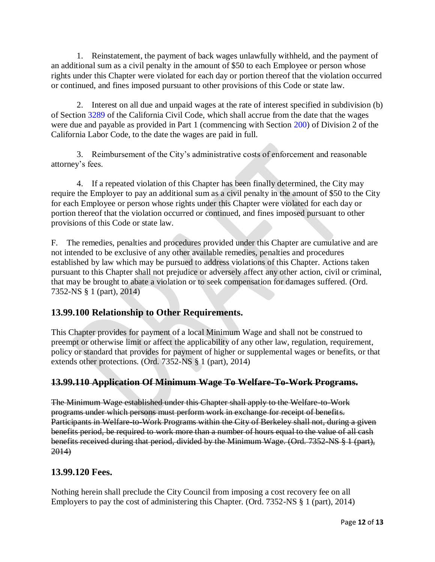1. Reinstatement, the payment of back wages unlawfully withheld, and the payment of an additional sum as a civil penalty in the amount of \$50 to each Employee or person whose rights under this Chapter were violated for each day or portion thereof that the violation occurred or continued, and fines imposed pursuant to other provisions of this Code or state law.

2. Interest on all due and unpaid wages at the rate of interest specified in subdivision (b) of Section [3289](http://leginfo.legislature.ca.gov/faces/codes_displaySection.xhtml?lawCode=CIV§ionNum=3289) of the California Civil Code, which shall accrue from the date that the wages were due and payable as provided in Part 1 (commencing with Section [200\)](http://leginfo.legislature.ca.gov/faces/codes_displaySection.xhtml?lawCode=LAB§ionNum=200) of Division 2 of the California Labor Code, to the date the wages are paid in full.

3. Reimbursement of the City's administrative costs of enforcement and reasonable attorney's fees.

4. If a repeated violation of this Chapter has been finally determined, the City may require the Employer to pay an additional sum as a civil penalty in the amount of \$50 to the City for each Employee or person whose rights under this Chapter were violated for each day or portion thereof that the violation occurred or continued, and fines imposed pursuant to other provisions of this Code or state law.

F. The remedies, penalties and procedures provided under this Chapter are cumulative and are not intended to be exclusive of any other available remedies, penalties and procedures established by law which may be pursued to address violations of this Chapter. Actions taken pursuant to this Chapter shall not prejudice or adversely affect any other action, civil or criminal, that may be brought to abate a violation or to seek compensation for damages suffered. (Ord. 7352-NS § 1 (part), 2014)

# **13.99.100 Relationship to Other Requirements.**

This Chapter provides for payment of a local Minimum Wage and shall not be construed to preempt or otherwise limit or affect the applicability of any other law, regulation, requirement, policy or standard that provides for payment of higher or supplemental wages or benefits, or that extends other protections. (Ord. 7352-NS § 1 (part), 2014)

# **13.99.110 Application Of Minimum Wage To Welfare-To-Work Programs.**

The Minimum Wage established under this Chapter shall apply to the Welfare-to-Work programs under which persons must perform work in exchange for receipt of benefits. Participants in Welfare-to-Work Programs within the City of Berkeley shall not, during a given benefits period, be required to work more than a number of hours equal to the value of all cash benefits received during that period, divided by the Minimum Wage. (Ord. 7352-NS § 1 (part),  $2014$ 

# **13.99.120 Fees.**

Nothing herein shall preclude the City Council from imposing a cost recovery fee on all Employers to pay the cost of administering this Chapter. (Ord. 7352-NS § 1 (part), 2014)